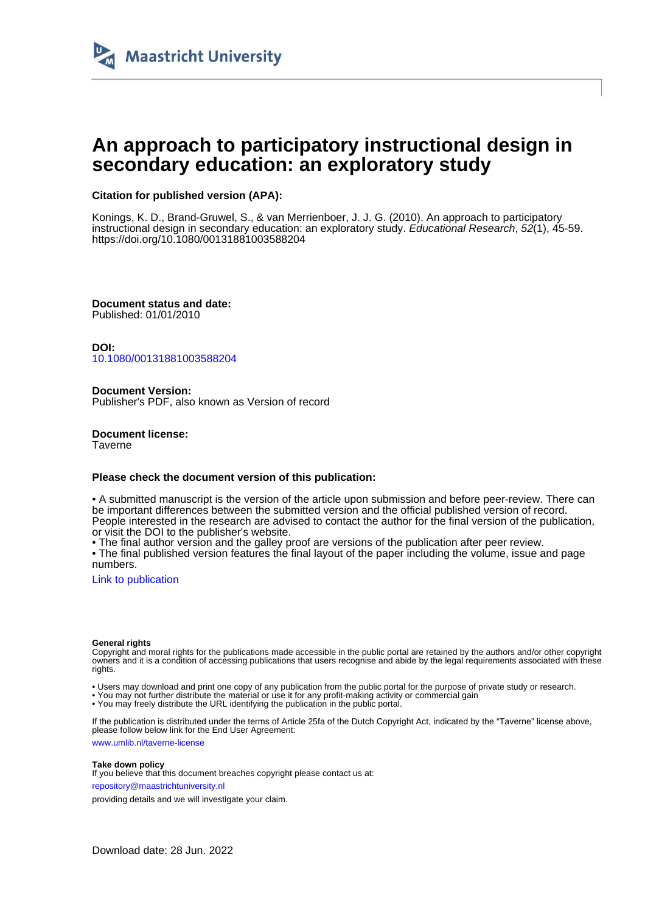

# **An approach to participatory instructional design in secondary education: an exploratory study**

### **Citation for published version (APA):**

Konings, K. D., Brand-Gruwel, S., & van Merrienboer, J. J. G. (2010). An approach to participatory instructional design in secondary education: an exploratory study. Educational Research, 52(1), 45-59. <https://doi.org/10.1080/00131881003588204>

**Document status and date:** Published: 01/01/2010

**DOI:** [10.1080/00131881003588204](https://doi.org/10.1080/00131881003588204)

**Document Version:** Publisher's PDF, also known as Version of record

**Document license: Taverne** 

#### **Please check the document version of this publication:**

• A submitted manuscript is the version of the article upon submission and before peer-review. There can be important differences between the submitted version and the official published version of record. People interested in the research are advised to contact the author for the final version of the publication, or visit the DOI to the publisher's website.

• The final author version and the galley proof are versions of the publication after peer review.

• The final published version features the final layout of the paper including the volume, issue and page numbers.

[Link to publication](https://cris.maastrichtuniversity.nl/en/publications/641b89e4-0f4a-4064-bd0e-3bd1199429f2)

#### **General rights**

Copyright and moral rights for the publications made accessible in the public portal are retained by the authors and/or other copyright owners and it is a condition of accessing publications that users recognise and abide by the legal requirements associated with these rights.

• Users may download and print one copy of any publication from the public portal for the purpose of private study or research.

• You may not further distribute the material or use it for any profit-making activity or commercial gain

• You may freely distribute the URL identifying the publication in the public portal.

If the publication is distributed under the terms of Article 25fa of the Dutch Copyright Act, indicated by the "Taverne" license above, please follow below link for the End User Agreement:

www.umlib.nl/taverne-license

#### **Take down policy**

If you believe that this document breaches copyright please contact us at: repository@maastrichtuniversity.nl

providing details and we will investigate your claim.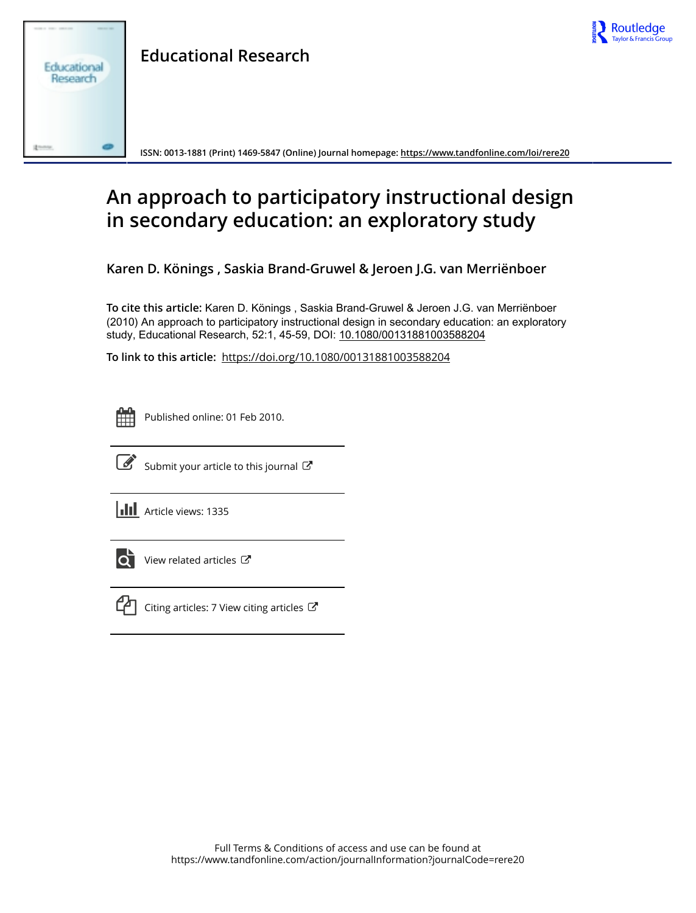



**Educational Research**

**ISSN: 0013-1881 (Print) 1469-5847 (Online) Journal homepage:<https://www.tandfonline.com/loi/rere20>**

# **An approach to participatory instructional design in secondary education: an exploratory study**

**Karen D. Könings , Saskia Brand-Gruwel & Jeroen J.G. van Merriënboer**

**To cite this article:** Karen D. Könings , Saskia Brand-Gruwel & Jeroen J.G. van Merriënboer (2010) An approach to participatory instructional design in secondary education: an exploratory study, Educational Research, 52:1, 45-59, DOI: [10.1080/00131881003588204](https://www.tandfonline.com/action/showCitFormats?doi=10.1080/00131881003588204)

**To link to this article:** <https://doi.org/10.1080/00131881003588204>



Published online: 01 Feb 2010.



 $\overrightarrow{S}$  [Submit your article to this journal](https://www.tandfonline.com/action/authorSubmission?journalCode=rere20&show=instructions)  $\overrightarrow{S}$ 

**III** Article views: 1335



 $\overline{\mathbf{C}}$  [View related articles](https://www.tandfonline.com/doi/mlt/10.1080/00131881003588204)  $\mathbf{C}$ 



 $\mathbb{C}$  [Citing articles: 7 View citing articles](https://www.tandfonline.com/doi/citedby/10.1080/00131881003588204#tabModule)  $\mathbb{C}$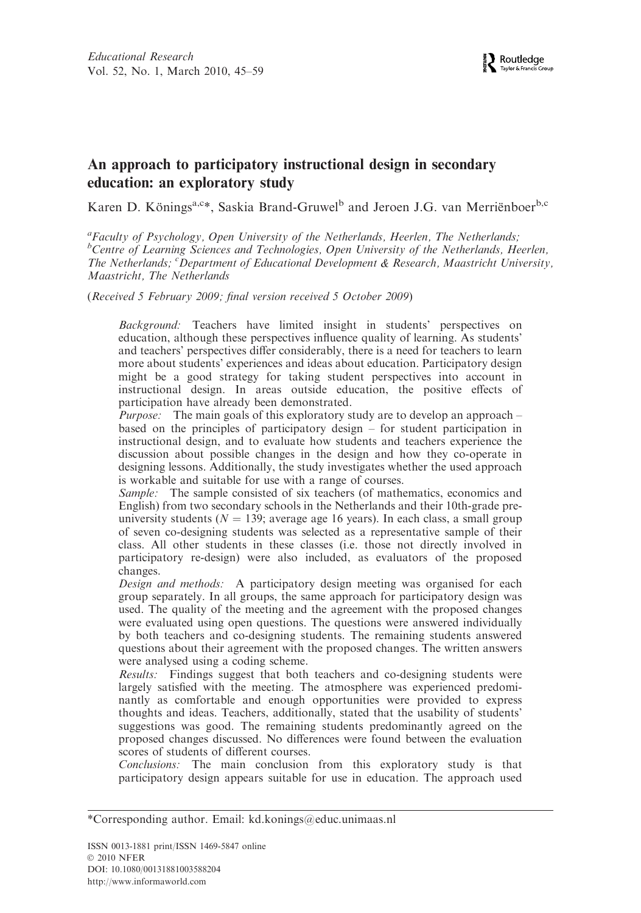## An approach to participatory instructional design in secondary education: an exploratory study

Karen D. Könings<sup>a,c\*</sup>, Saskia Brand-Gruwel<sup>b</sup> and Jeroen J.G. van Merriënboer<sup>b,c</sup>

<sup>a</sup>Faculty of Psychology, Open University of the Netherlands, Heerlen, The Netherlands; <sup>b</sup>Centre of Learning Sciences and Technologies, Open University of the Netherlands, Heerlen, The Netherlands;  $\overline{c}$  Department of Educational Development & Research, Maastricht University, Maastricht, The Netherlands

(Received 5 February 2009; final version received 5 October 2009)

Background: Teachers have limited insight in students' perspectives on education, although these perspectives influence quality of learning. As students' and teachers' perspectives differ considerably, there is a need for teachers to learn more about students' experiences and ideas about education. Participatory design might be a good strategy for taking student perspectives into account in instructional design. In areas outside education, the positive effects of participation have already been demonstrated.

Purpose: The main goals of this exploratory study are to develop an approach – based on the principles of participatory design – for student participation in instructional design, and to evaluate how students and teachers experience the discussion about possible changes in the design and how they co-operate in designing lessons. Additionally, the study investigates whether the used approach is workable and suitable for use with a range of courses.

Sample: The sample consisted of six teachers (of mathematics, economics and English) from two secondary schools in the Netherlands and their 10th-grade preuniversity students ( $N = 139$ ; average age 16 years). In each class, a small group of seven co-designing students was selected as a representative sample of their class. All other students in these classes (i.e. those not directly involved in participatory re-design) were also included, as evaluators of the proposed changes.

Design and methods: A participatory design meeting was organised for each group separately. In all groups, the same approach for participatory design was used. The quality of the meeting and the agreement with the proposed changes were evaluated using open questions. The questions were answered individually by both teachers and co-designing students. The remaining students answered questions about their agreement with the proposed changes. The written answers were analysed using a coding scheme.

Results: Findings suggest that both teachers and co-designing students were largely satisfied with the meeting. The atmosphere was experienced predominantly as comfortable and enough opportunities were provided to express thoughts and ideas. Teachers, additionally, stated that the usability of students' suggestions was good. The remaining students predominantly agreed on the proposed changes discussed. No differences were found between the evaluation scores of students of different courses.

Conclusions: The main conclusion from this exploratory study is that participatory design appears suitable for use in education. The approach used

<sup>\*</sup>Corresponding author. Email: kd.konings@educ.unimaas.nl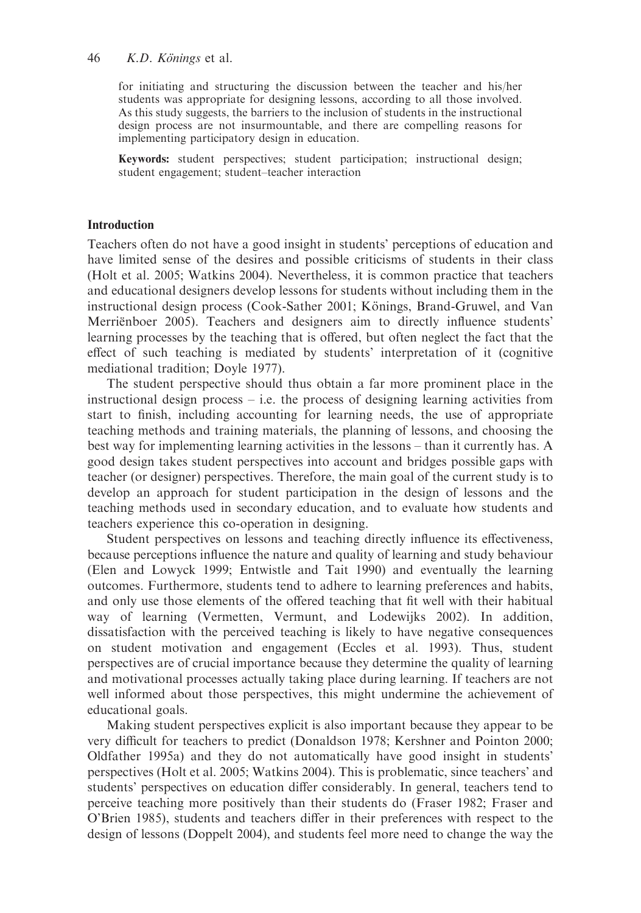#### 46  $K.D.$  Könings et al.

for initiating and structuring the discussion between the teacher and his/her students was appropriate for designing lessons, according to all those involved. As this study suggests, the barriers to the inclusion of students in the instructional design process are not insurmountable, and there are compelling reasons for implementing participatory design in education.

Keywords: student perspectives; student participation; instructional design; student engagement; student–teacher interaction

#### Introduction

Teachers often do not have a good insight in students' perceptions of education and have limited sense of the desires and possible criticisms of students in their class (Holt et al. 2005; Watkins 2004). Nevertheless, it is common practice that teachers and educational designers develop lessons for students without including them in the instructional design process (Cook-Sather 2001; Könings, Brand-Gruwel, and Van Merrienboer 2005). Teachers and designers aim to directly influence students' learning processes by the teaching that is offered, but often neglect the fact that the effect of such teaching is mediated by students' interpretation of it (cognitive mediational tradition; Doyle 1977).

The student perspective should thus obtain a far more prominent place in the instructional design process  $-$  i.e. the process of designing learning activities from start to finish, including accounting for learning needs, the use of appropriate teaching methods and training materials, the planning of lessons, and choosing the best way for implementing learning activities in the lessons – than it currently has. A good design takes student perspectives into account and bridges possible gaps with teacher (or designer) perspectives. Therefore, the main goal of the current study is to develop an approach for student participation in the design of lessons and the teaching methods used in secondary education, and to evaluate how students and teachers experience this co-operation in designing.

Student perspectives on lessons and teaching directly influence its effectiveness, because perceptions influence the nature and quality of learning and study behaviour (Elen and Lowyck 1999; Entwistle and Tait 1990) and eventually the learning outcomes. Furthermore, students tend to adhere to learning preferences and habits, and only use those elements of the offered teaching that fit well with their habitual way of learning (Vermetten, Vermunt, and Lodewijks 2002). In addition, dissatisfaction with the perceived teaching is likely to have negative consequences on student motivation and engagement (Eccles et al. 1993). Thus, student perspectives are of crucial importance because they determine the quality of learning and motivational processes actually taking place during learning. If teachers are not well informed about those perspectives, this might undermine the achievement of educational goals.

Making student perspectives explicit is also important because they appear to be very difficult for teachers to predict (Donaldson 1978; Kershner and Pointon 2000; Oldfather 1995a) and they do not automatically have good insight in students' perspectives (Holt et al. 2005; Watkins 2004). This is problematic, since teachers' and students' perspectives on education differ considerably. In general, teachers tend to perceive teaching more positively than their students do (Fraser 1982; Fraser and O'Brien 1985), students and teachers differ in their preferences with respect to the design of lessons (Doppelt 2004), and students feel more need to change the way the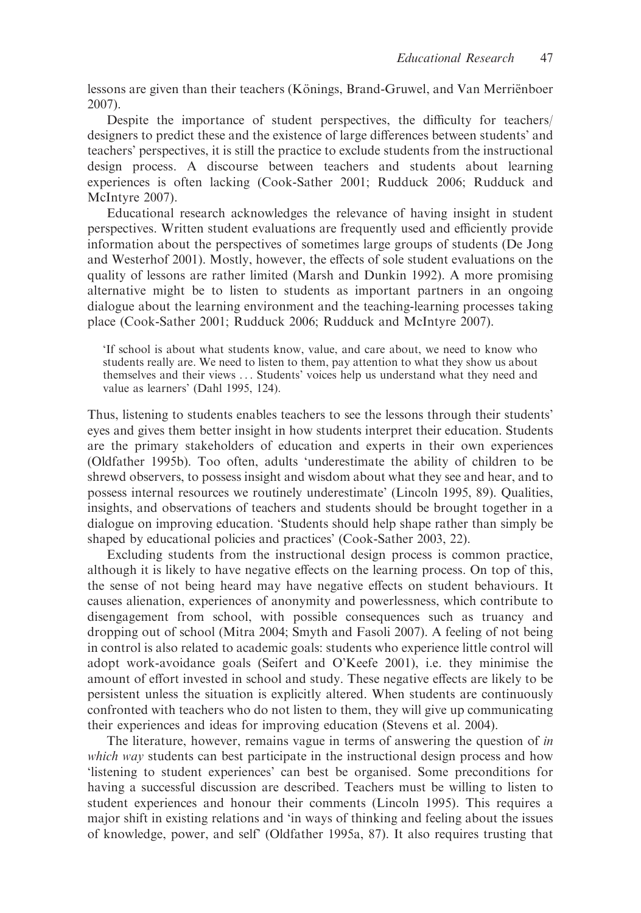lessons are given than their teachers (Könings, Brand-Gruwel, and Van Merrienboer 2007).

Despite the importance of student perspectives, the difficulty for teachers/ designers to predict these and the existence of large differences between students' and teachers' perspectives, it is still the practice to exclude students from the instructional design process. A discourse between teachers and students about learning experiences is often lacking (Cook-Sather 2001; Rudduck 2006; Rudduck and McIntyre 2007).

Educational research acknowledges the relevance of having insight in student perspectives. Written student evaluations are frequently used and efficiently provide information about the perspectives of sometimes large groups of students (De Jong and Westerhof 2001). Mostly, however, the effects of sole student evaluations on the quality of lessons are rather limited (Marsh and Dunkin 1992). A more promising alternative might be to listen to students as important partners in an ongoing dialogue about the learning environment and the teaching-learning processes taking place (Cook-Sather 2001; Rudduck 2006; Rudduck and McIntyre 2007).

'If school is about what students know, value, and care about, we need to know who students really are. We need to listen to them, pay attention to what they show us about themselves and their views . . . Students' voices help us understand what they need and value as learners' (Dahl 1995, 124).

Thus, listening to students enables teachers to see the lessons through their students' eyes and gives them better insight in how students interpret their education. Students are the primary stakeholders of education and experts in their own experiences (Oldfather 1995b). Too often, adults 'underestimate the ability of children to be shrewd observers, to possess insight and wisdom about what they see and hear, and to possess internal resources we routinely underestimate' (Lincoln 1995, 89). Qualities, insights, and observations of teachers and students should be brought together in a dialogue on improving education. 'Students should help shape rather than simply be shaped by educational policies and practices' (Cook-Sather 2003, 22).

Excluding students from the instructional design process is common practice, although it is likely to have negative effects on the learning process. On top of this, the sense of not being heard may have negative effects on student behaviours. It causes alienation, experiences of anonymity and powerlessness, which contribute to disengagement from school, with possible consequences such as truancy and dropping out of school (Mitra 2004; Smyth and Fasoli 2007). A feeling of not being in control is also related to academic goals: students who experience little control will adopt work-avoidance goals (Seifert and O'Keefe 2001), i.e. they minimise the amount of effort invested in school and study. These negative effects are likely to be persistent unless the situation is explicitly altered. When students are continuously confronted with teachers who do not listen to them, they will give up communicating their experiences and ideas for improving education (Stevens et al. 2004).

The literature, however, remains vague in terms of answering the question of in which way students can best participate in the instructional design process and how 'listening to student experiences' can best be organised. Some preconditions for having a successful discussion are described. Teachers must be willing to listen to student experiences and honour their comments (Lincoln 1995). This requires a major shift in existing relations and 'in ways of thinking and feeling about the issues of knowledge, power, and self' (Oldfather 1995a, 87). It also requires trusting that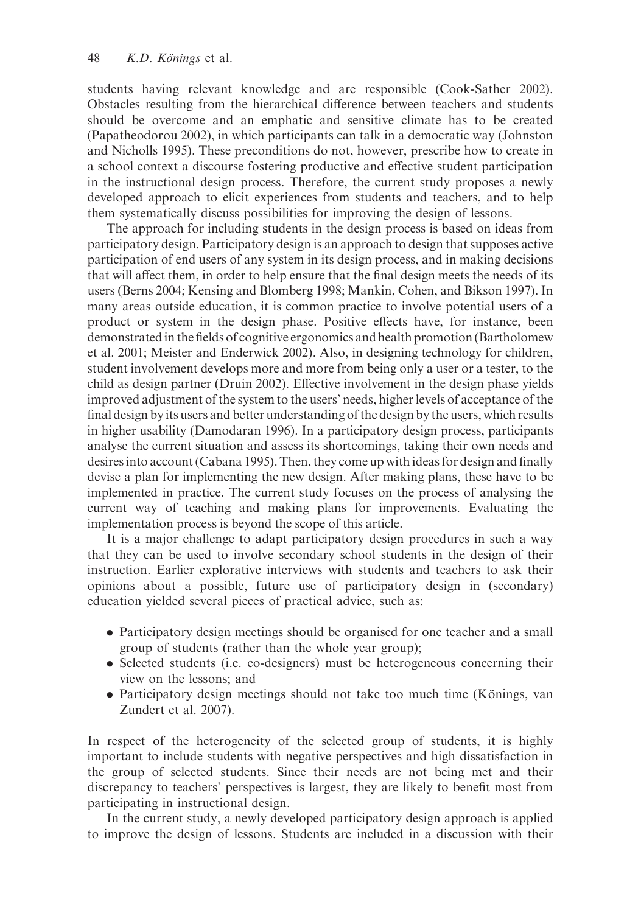students having relevant knowledge and are responsible (Cook-Sather 2002). Obstacles resulting from the hierarchical difference between teachers and students should be overcome and an emphatic and sensitive climate has to be created (Papatheodorou 2002), in which participants can talk in a democratic way (Johnston and Nicholls 1995). These preconditions do not, however, prescribe how to create in a school context a discourse fostering productive and effective student participation in the instructional design process. Therefore, the current study proposes a newly developed approach to elicit experiences from students and teachers, and to help them systematically discuss possibilities for improving the design of lessons.

The approach for including students in the design process is based on ideas from participatory design. Participatory design is an approach to design that supposes active participation of end users of any system in its design process, and in making decisions that will affect them, in order to help ensure that the final design meets the needs of its users (Berns 2004; Kensing and Blomberg 1998; Mankin, Cohen, and Bikson 1997). In many areas outside education, it is common practice to involve potential users of a product or system in the design phase. Positive effects have, for instance, been demonstrated in the fields of cognitive ergonomics and health promotion (Bartholomew et al. 2001; Meister and Enderwick 2002). Also, in designing technology for children, student involvement develops more and more from being only a user or a tester, to the child as design partner (Druin 2002). Effective involvement in the design phase yields improved adjustment of the system to the users' needs, higher levels of acceptance of the final design by its users and better understanding of the design by the users, which results in higher usability (Damodaran 1996). In a participatory design process, participants analyse the current situation and assess its shortcomings, taking their own needs and desires into account (Cabana 1995). Then, they come up with ideas for design and finally devise a plan for implementing the new design. After making plans, these have to be implemented in practice. The current study focuses on the process of analysing the current way of teaching and making plans for improvements. Evaluating the implementation process is beyond the scope of this article.

It is a major challenge to adapt participatory design procedures in such a way that they can be used to involve secondary school students in the design of their instruction. Earlier explorative interviews with students and teachers to ask their opinions about a possible, future use of participatory design in (secondary) education yielded several pieces of practical advice, such as:

- . Participatory design meetings should be organised for one teacher and a small group of students (rather than the whole year group);
- . Selected students (i.e. co-designers) must be heterogeneous concerning their view on the lessons; and
- Participatory design meetings should not take too much time (Könings, van Zundert et al. 2007).

In respect of the heterogeneity of the selected group of students, it is highly important to include students with negative perspectives and high dissatisfaction in the group of selected students. Since their needs are not being met and their discrepancy to teachers' perspectives is largest, they are likely to benefit most from participating in instructional design.

In the current study, a newly developed participatory design approach is applied to improve the design of lessons. Students are included in a discussion with their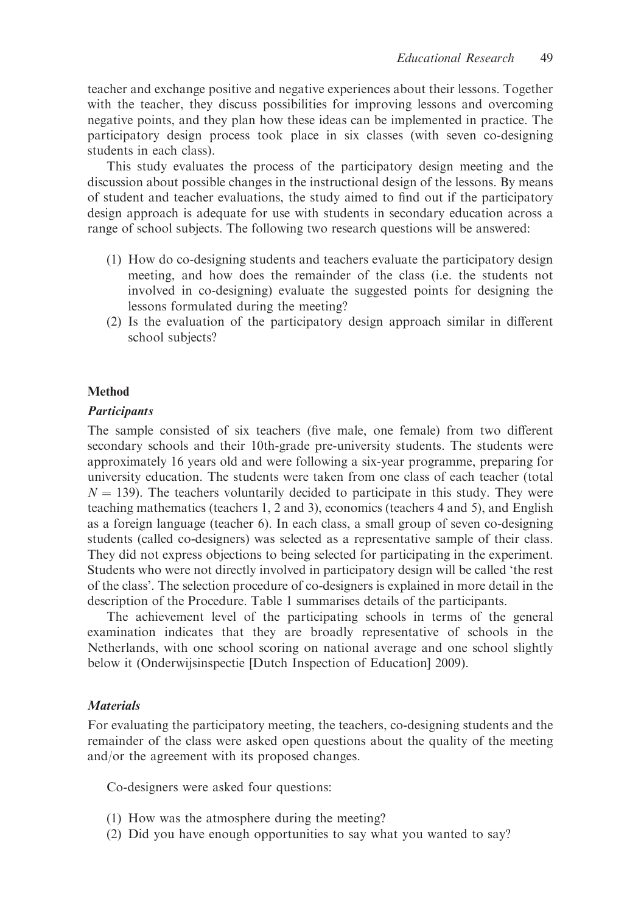teacher and exchange positive and negative experiences about their lessons. Together with the teacher, they discuss possibilities for improving lessons and overcoming negative points, and they plan how these ideas can be implemented in practice. The participatory design process took place in six classes (with seven co-designing students in each class).

This study evaluates the process of the participatory design meeting and the discussion about possible changes in the instructional design of the lessons. By means of student and teacher evaluations, the study aimed to find out if the participatory design approach is adequate for use with students in secondary education across a range of school subjects. The following two research questions will be answered:

- (1) How do co-designing students and teachers evaluate the participatory design meeting, and how does the remainder of the class (i.e. the students not involved in co-designing) evaluate the suggested points for designing the lessons formulated during the meeting?
- (2) Is the evaluation of the participatory design approach similar in different school subjects?

#### Method

#### **Participants**

The sample consisted of six teachers (five male, one female) from two different secondary schools and their 10th-grade pre-university students. The students were approximately 16 years old and were following a six-year programme, preparing for university education. The students were taken from one class of each teacher (total  $N = 139$ ). The teachers voluntarily decided to participate in this study. They were teaching mathematics (teachers 1, 2 and 3), economics (teachers 4 and 5), and English as a foreign language (teacher 6). In each class, a small group of seven co-designing students (called co-designers) was selected as a representative sample of their class. They did not express objections to being selected for participating in the experiment. Students who were not directly involved in participatory design will be called 'the rest of the class'. The selection procedure of co-designers is explained in more detail in the description of the Procedure. Table 1 summarises details of the participants.

The achievement level of the participating schools in terms of the general examination indicates that they are broadly representative of schools in the Netherlands, with one school scoring on national average and one school slightly below it (Onderwijsinspectie [Dutch Inspection of Education] 2009).

#### **Materials**

For evaluating the participatory meeting, the teachers, co-designing students and the remainder of the class were asked open questions about the quality of the meeting and/or the agreement with its proposed changes.

Co-designers were asked four questions:

- (1) How was the atmosphere during the meeting?
- (2) Did you have enough opportunities to say what you wanted to say?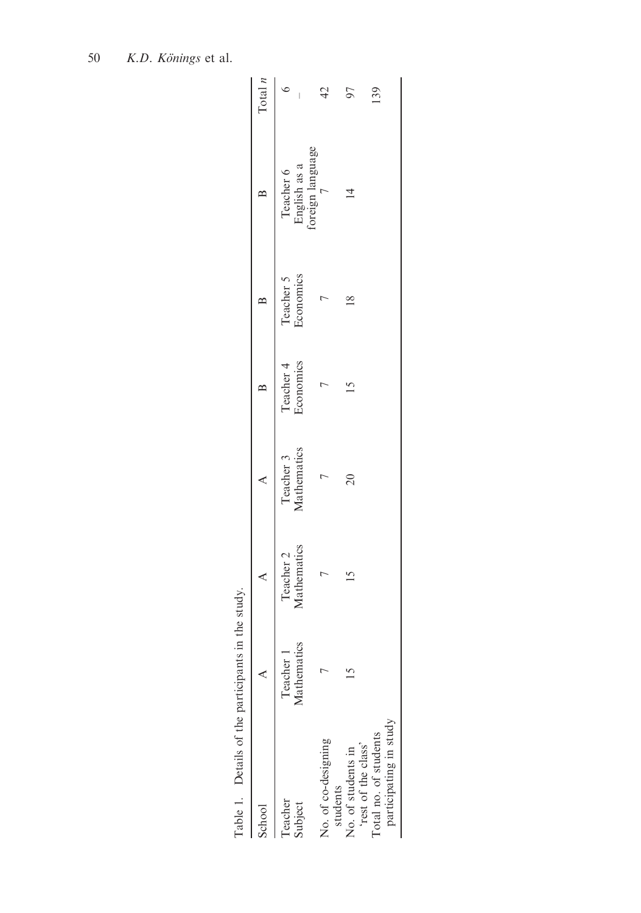| School                                       |                               |                          |                          |                        |                        | $\approx$                                     | Total $n$       |
|----------------------------------------------|-------------------------------|--------------------------|--------------------------|------------------------|------------------------|-----------------------------------------------|-----------------|
| <b>Teacher</b><br>subject                    | <b>Aathematics</b><br>Teacher | Teacher 2<br>Mathematics | Teacher 3<br>Mathematics | Teacher 4<br>Economics | Teacher 5<br>Economics | Teacher 6<br>English as a<br>foreign language |                 |
| No. of co-designing<br>students              |                               |                          | t                        |                        |                        |                                               | $\frac{1}{2}$   |
| No. of students in                           |                               |                          | $\approx$                |                        |                        |                                               |                 |
| Total no. of students<br>'rest of the class' |                               |                          |                          |                        |                        |                                               | $\overline{39}$ |
| participating in study                       |                               |                          |                          |                        |                        |                                               |                 |

Table 1. Details of the participants in the study. Table 1. Details of the participants in the study.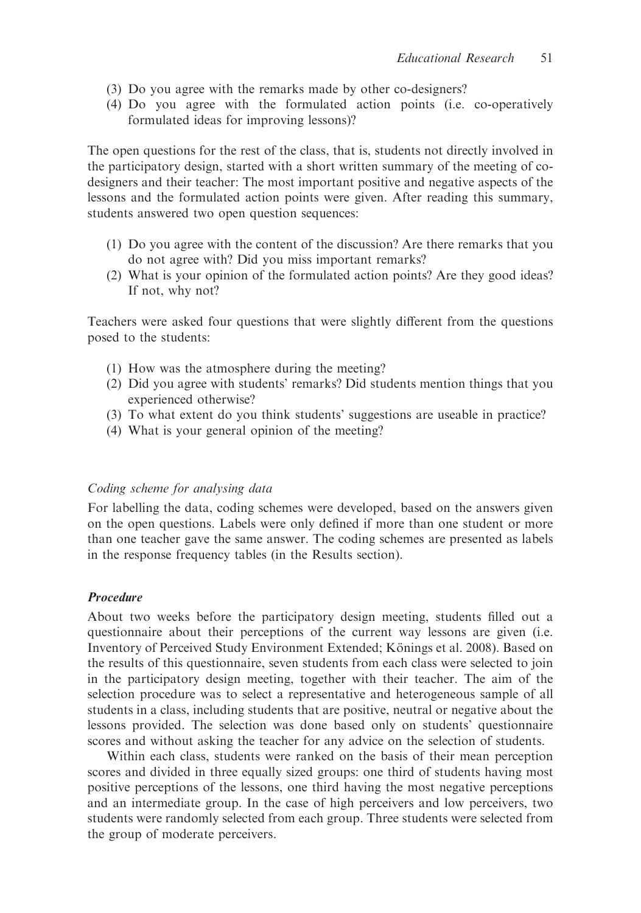- (3) Do you agree with the remarks made by other co-designers?
- (4) Do you agree with the formulated action points (i.e. co-operatively formulated ideas for improving lessons)?

The open questions for the rest of the class, that is, students not directly involved in the participatory design, started with a short written summary of the meeting of codesigners and their teacher: The most important positive and negative aspects of the lessons and the formulated action points were given. After reading this summary, students answered two open question sequences:

- (1) Do you agree with the content of the discussion? Are there remarks that you do not agree with? Did you miss important remarks?
- (2) What is your opinion of the formulated action points? Are they good ideas? If not, why not?

Teachers were asked four questions that were slightly different from the questions posed to the students:

- (1) How was the atmosphere during the meeting?
- (2) Did you agree with students' remarks? Did students mention things that you experienced otherwise?
- (3) To what extent do you think students' suggestions are useable in practice?
- (4) What is your general opinion of the meeting?

#### Coding scheme for analysing data

For labelling the data, coding schemes were developed, based on the answers given on the open questions. Labels were only defined if more than one student or more than one teacher gave the same answer. The coding schemes are presented as labels in the response frequency tables (in the Results section).

#### Procedure

About two weeks before the participatory design meeting, students filled out a questionnaire about their perceptions of the current way lessons are given (i.e. Inventory of Perceived Study Environment Extended; Könings et al. 2008). Based on the results of this questionnaire, seven students from each class were selected to join in the participatory design meeting, together with their teacher. The aim of the selection procedure was to select a representative and heterogeneous sample of all students in a class, including students that are positive, neutral or negative about the lessons provided. The selection was done based only on students' questionnaire scores and without asking the teacher for any advice on the selection of students.

Within each class, students were ranked on the basis of their mean perception scores and divided in three equally sized groups: one third of students having most positive perceptions of the lessons, one third having the most negative perceptions and an intermediate group. In the case of high perceivers and low perceivers, two students were randomly selected from each group. Three students were selected from the group of moderate perceivers.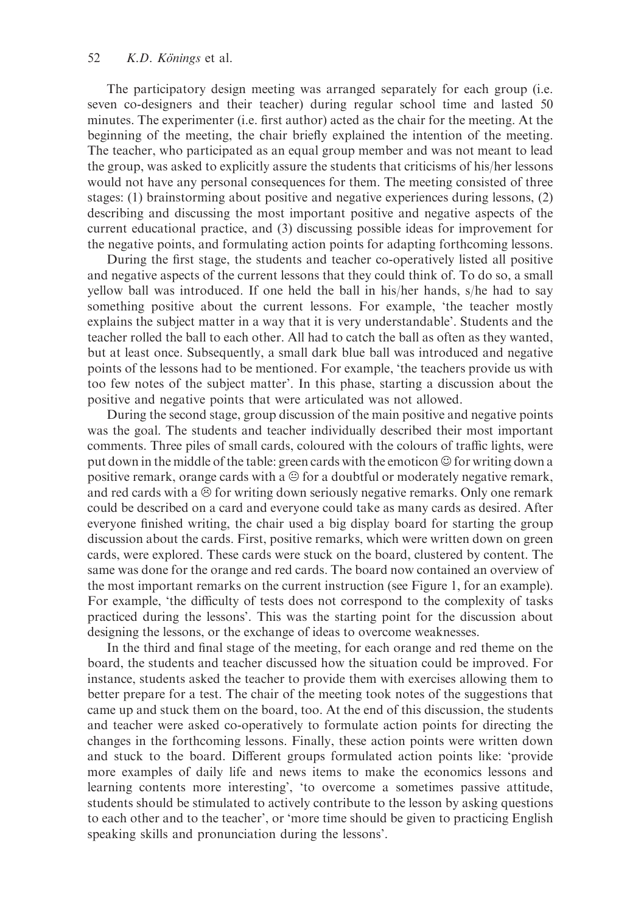The participatory design meeting was arranged separately for each group (i.e. seven co-designers and their teacher) during regular school time and lasted 50 minutes. The experimenter (i.e. first author) acted as the chair for the meeting. At the beginning of the meeting, the chair briefly explained the intention of the meeting. The teacher, who participated as an equal group member and was not meant to lead the group, was asked to explicitly assure the students that criticisms of his/her lessons would not have any personal consequences for them. The meeting consisted of three stages: (1) brainstorming about positive and negative experiences during lessons, (2) describing and discussing the most important positive and negative aspects of the current educational practice, and (3) discussing possible ideas for improvement for the negative points, and formulating action points for adapting forthcoming lessons.

During the first stage, the students and teacher co-operatively listed all positive and negative aspects of the current lessons that they could think of. To do so, a small yellow ball was introduced. If one held the ball in his/her hands, s/he had to say something positive about the current lessons. For example, 'the teacher mostly explains the subject matter in a way that it is very understandable'. Students and the teacher rolled the ball to each other. All had to catch the ball as often as they wanted, but at least once. Subsequently, a small dark blue ball was introduced and negative points of the lessons had to be mentioned. For example, 'the teachers provide us with too few notes of the subject matter'. In this phase, starting a discussion about the positive and negative points that were articulated was not allowed.

During the second stage, group discussion of the main positive and negative points was the goal. The students and teacher individually described their most important comments. Three piles of small cards, coloured with the colours of traffic lights, were put down in the middle of the table: green cards with the emoticon  $\circledcirc$  for writing down a positive remark, orange cards with a  $\bigcirc$  for a doubtful or moderately negative remark, and red cards with a  $\circledR$  for writing down seriously negative remarks. Only one remark could be described on a card and everyone could take as many cards as desired. After everyone finished writing, the chair used a big display board for starting the group discussion about the cards. First, positive remarks, which were written down on green cards, were explored. These cards were stuck on the board, clustered by content. The same was done for the orange and red cards. The board now contained an overview of the most important remarks on the current instruction (see Figure 1, for an example). For example, 'the difficulty of tests does not correspond to the complexity of tasks practiced during the lessons'. This was the starting point for the discussion about designing the lessons, or the exchange of ideas to overcome weaknesses.

In the third and final stage of the meeting, for each orange and red theme on the board, the students and teacher discussed how the situation could be improved. For instance, students asked the teacher to provide them with exercises allowing them to better prepare for a test. The chair of the meeting took notes of the suggestions that came up and stuck them on the board, too. At the end of this discussion, the students and teacher were asked co-operatively to formulate action points for directing the changes in the forthcoming lessons. Finally, these action points were written down and stuck to the board. Different groups formulated action points like: 'provide more examples of daily life and news items to make the economics lessons and learning contents more interesting', 'to overcome a sometimes passive attitude, students should be stimulated to actively contribute to the lesson by asking questions to each other and to the teacher', or 'more time should be given to practicing English speaking skills and pronunciation during the lessons'.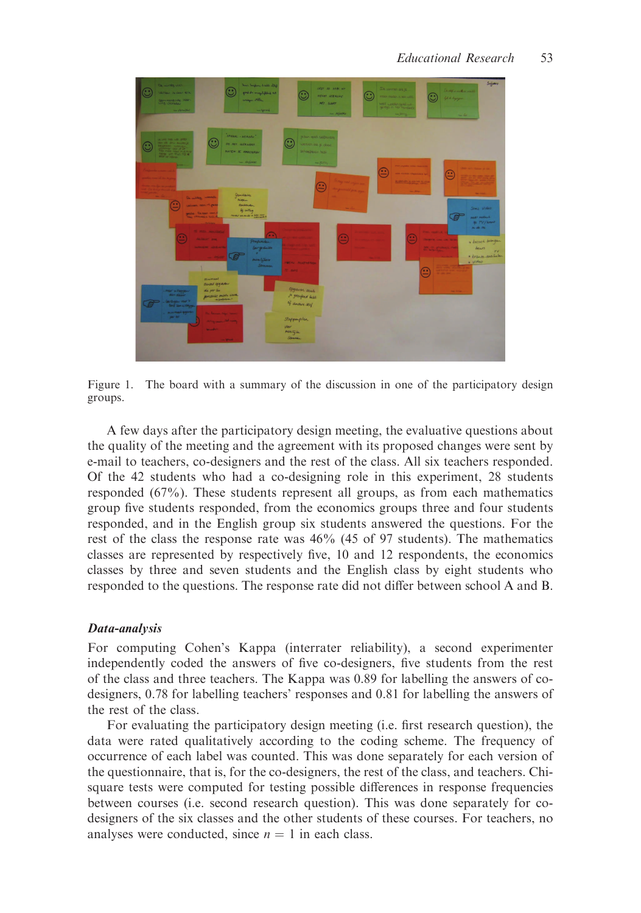

Figure 1. The board with a summary of the discussion in one of the participatory design groups.

A few days after the participatory design meeting, the evaluative questions about the quality of the meeting and the agreement with its proposed changes were sent by e-mail to teachers, co-designers and the rest of the class. All six teachers responded. Of the 42 students who had a co-designing role in this experiment, 28 students responded (67%). These students represent all groups, as from each mathematics group five students responded, from the economics groups three and four students responded, and in the English group six students answered the questions. For the rest of the class the response rate was 46% (45 of 97 students). The mathematics classes are represented by respectively five, 10 and 12 respondents, the economics classes by three and seven students and the English class by eight students who responded to the questions. The response rate did not differ between school A and B.

#### Data-analysis

For computing Cohen's Kappa (interrater reliability), a second experimenter independently coded the answers of five co-designers, five students from the rest of the class and three teachers. The Kappa was 0.89 for labelling the answers of codesigners, 0.78 for labelling teachers' responses and 0.81 for labelling the answers of the rest of the class.

For evaluating the participatory design meeting (i.e. first research question), the data were rated qualitatively according to the coding scheme. The frequency of occurrence of each label was counted. This was done separately for each version of the questionnaire, that is, for the co-designers, the rest of the class, and teachers. Chisquare tests were computed for testing possible differences in response frequencies between courses (i.e. second research question). This was done separately for codesigners of the six classes and the other students of these courses. For teachers, no analyses were conducted, since  $n = 1$  in each class.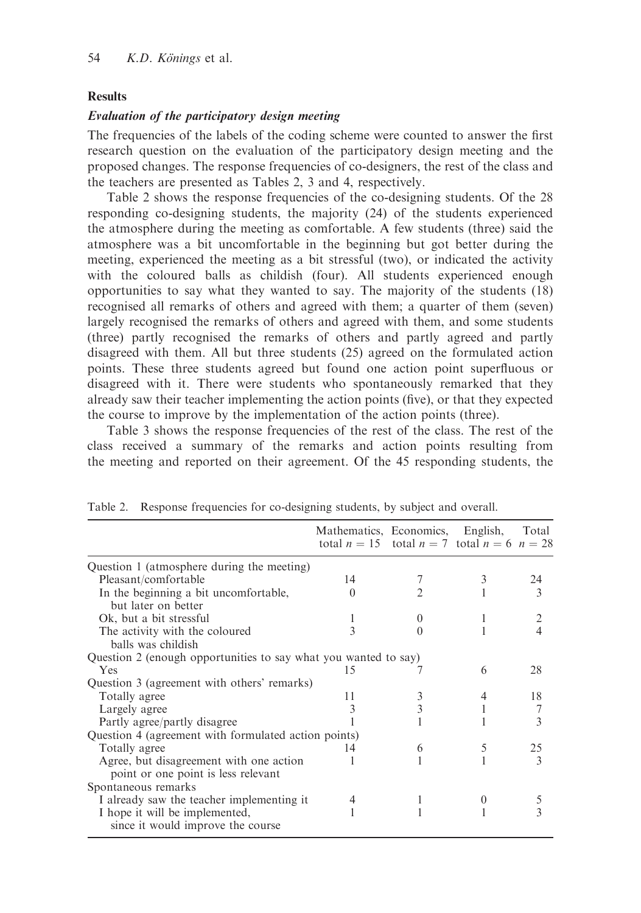#### **Results**

#### Evaluation of the participatory design meeting

The frequencies of the labels of the coding scheme were counted to answer the first research question on the evaluation of the participatory design meeting and the proposed changes. The response frequencies of co-designers, the rest of the class and the teachers are presented as Tables 2, 3 and 4, respectively.

Table 2 shows the response frequencies of the co-designing students. Of the 28 responding co-designing students, the majority (24) of the students experienced the atmosphere during the meeting as comfortable. A few students (three) said the atmosphere was a bit uncomfortable in the beginning but got better during the meeting, experienced the meeting as a bit stressful (two), or indicated the activity with the coloured balls as childish (four). All students experienced enough opportunities to say what they wanted to say. The majority of the students (18) recognised all remarks of others and agreed with them; a quarter of them (seven) largely recognised the remarks of others and agreed with them, and some students (three) partly recognised the remarks of others and partly agreed and partly disagreed with them. All but three students (25) agreed on the formulated action points. These three students agreed but found one action point superfluous or disagreed with it. There were students who spontaneously remarked that they already saw their teacher implementing the action points (five), or that they expected the course to improve by the implementation of the action points (three).

Table 3 shows the response frequencies of the rest of the class. The rest of the class received a summary of the remarks and action points resulting from the meeting and reported on their agreement. Of the 45 responding students, the

|                                                                 | Mathematics, Economics, English,<br>total $n = 15$ total $n = 7$ total $n = 6$ $n = 28$ |          |   | Total                    |
|-----------------------------------------------------------------|-----------------------------------------------------------------------------------------|----------|---|--------------------------|
| Question 1 (atmosphere during the meeting)                      |                                                                                         |          |   |                          |
| Pleasant/comfortable                                            | 14                                                                                      |          | 3 | 24                       |
| In the beginning a bit uncomfortable,                           | $\mathbf{0}$                                                                            |          |   | 3                        |
| but later on better                                             |                                                                                         |          |   |                          |
| Ok, but a bit stressful                                         |                                                                                         | $\theta$ |   |                          |
| The activity with the coloured                                  | 3                                                                                       |          |   |                          |
| balls was childish                                              |                                                                                         |          |   |                          |
| Question 2 (enough opportunities to say what you wanted to say) |                                                                                         |          |   |                          |
| Yes                                                             | 15                                                                                      |          | 6 | 28                       |
| Question 3 (agreement with others' remarks)                     |                                                                                         |          |   |                          |
| Totally agree                                                   | 11                                                                                      | 3        |   | 18                       |
| Largely agree                                                   | 3                                                                                       |          |   | 7                        |
| Partly agree/partly disagree                                    |                                                                                         |          |   | $\overline{\mathcal{E}}$ |
| Question 4 (agreement with formulated action points)            |                                                                                         |          |   |                          |
| Totally agree                                                   | 14                                                                                      | 6        | 5 | 25                       |
| Agree, but disagreement with one action                         |                                                                                         |          |   | 3                        |
| point or one point is less relevant                             |                                                                                         |          |   |                          |
| Spontaneous remarks                                             |                                                                                         |          |   |                          |
| I already saw the teacher implementing it                       |                                                                                         |          |   |                          |
| I hope it will be implemented,                                  |                                                                                         |          |   |                          |
| since it would improve the course                               |                                                                                         |          |   |                          |

Table 2. Response frequencies for co-designing students, by subject and overall.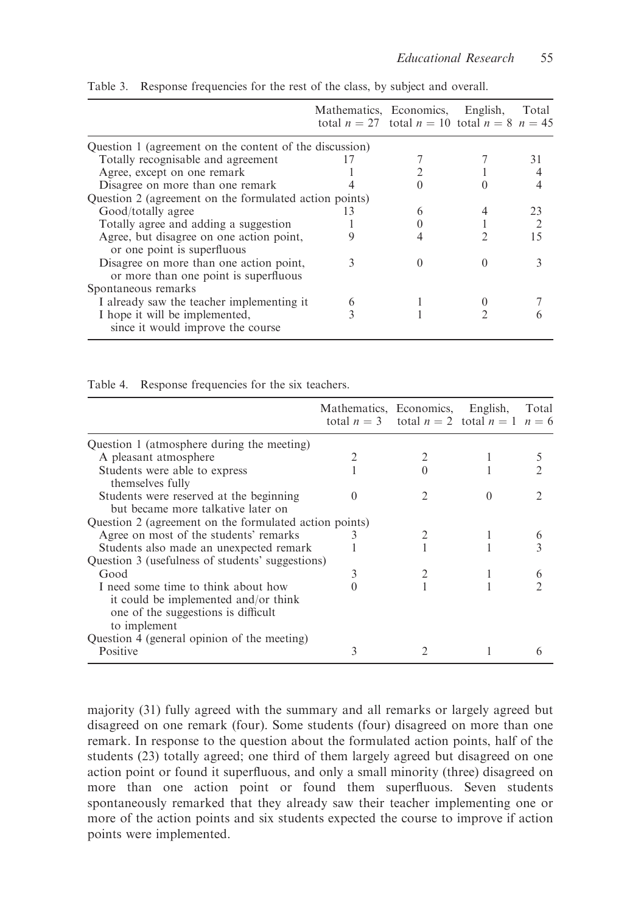|                                                                                  | Mathematics, Economics, English,<br>total $n = 27$ total $n = 10$ total $n = 8$ $n = 45$ |  | Total |
|----------------------------------------------------------------------------------|------------------------------------------------------------------------------------------|--|-------|
| Question 1 (agreement on the content of the discussion)                          |                                                                                          |  |       |
| Totally recognisable and agreement                                               |                                                                                          |  | 31    |
| Agree, except on one remark                                                      |                                                                                          |  |       |
| Disagree on more than one remark                                                 |                                                                                          |  |       |
| Question 2 (agreement on the formulated action points)                           |                                                                                          |  |       |
| Good/totally agree                                                               | 13                                                                                       |  | 23    |
| Totally agree and adding a suggestion                                            |                                                                                          |  |       |
| Agree, but disagree on one action point,<br>or one point is superfluous          |                                                                                          |  |       |
| Disagree on more than one action point,<br>or more than one point is superfluous | 3                                                                                        |  |       |
| Spontaneous remarks                                                              |                                                                                          |  |       |
| I already saw the teacher implementing it.                                       | 6                                                                                        |  |       |
| I hope it will be implemented,<br>since it would improve the course              | 3                                                                                        |  |       |

Table 3. Response frequencies for the rest of the class, by subject and overall.

Table 4. Response frequencies for the six teachers.

|                                                                                                                                    | Mathematics, Economics, English,<br>total $n = 3$ total $n = 2$ total $n = 1$ $n = 6$ |  | Total |
|------------------------------------------------------------------------------------------------------------------------------------|---------------------------------------------------------------------------------------|--|-------|
| Question 1 (atmosphere during the meeting)                                                                                         |                                                                                       |  |       |
| A pleasant atmosphere                                                                                                              |                                                                                       |  |       |
| Students were able to express<br>themselves fully                                                                                  |                                                                                       |  |       |
| Students were reserved at the beginning<br>but became more talkative later on                                                      |                                                                                       |  |       |
| Question 2 (agreement on the formulated action points)                                                                             |                                                                                       |  |       |
| Agree on most of the students' remarks                                                                                             |                                                                                       |  |       |
| Students also made an unexpected remark                                                                                            |                                                                                       |  |       |
| Question 3 (usefulness of students' suggestions)                                                                                   |                                                                                       |  |       |
| Good                                                                                                                               | 3                                                                                     |  |       |
| I need some time to think about how<br>it could be implemented and/or think<br>one of the suggestions is difficult<br>to implement |                                                                                       |  |       |
| Question 4 (general opinion of the meeting)                                                                                        |                                                                                       |  |       |
| Positive                                                                                                                           |                                                                                       |  |       |

majority (31) fully agreed with the summary and all remarks or largely agreed but disagreed on one remark (four). Some students (four) disagreed on more than one remark. In response to the question about the formulated action points, half of the students (23) totally agreed; one third of them largely agreed but disagreed on one action point or found it superfluous, and only a small minority (three) disagreed on more than one action point or found them superfluous. Seven students spontaneously remarked that they already saw their teacher implementing one or more of the action points and six students expected the course to improve if action points were implemented.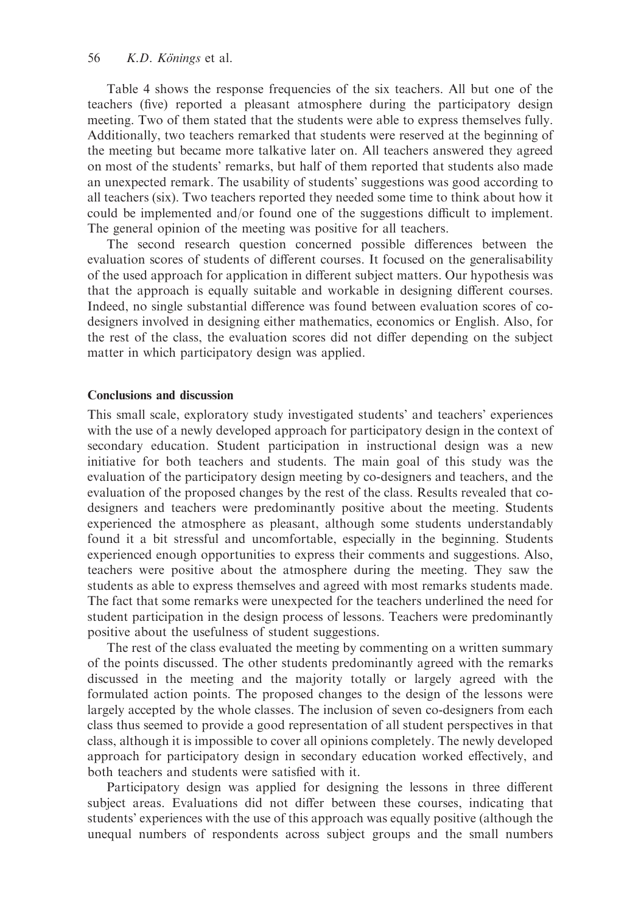Table 4 shows the response frequencies of the six teachers. All but one of the teachers (five) reported a pleasant atmosphere during the participatory design meeting. Two of them stated that the students were able to express themselves fully. Additionally, two teachers remarked that students were reserved at the beginning of the meeting but became more talkative later on. All teachers answered they agreed on most of the students' remarks, but half of them reported that students also made an unexpected remark. The usability of students' suggestions was good according to all teachers (six). Two teachers reported they needed some time to think about how it could be implemented and/or found one of the suggestions difficult to implement. The general opinion of the meeting was positive for all teachers.

The second research question concerned possible differences between the evaluation scores of students of different courses. It focused on the generalisability of the used approach for application in different subject matters. Our hypothesis was that the approach is equally suitable and workable in designing different courses. Indeed, no single substantial difference was found between evaluation scores of codesigners involved in designing either mathematics, economics or English. Also, for the rest of the class, the evaluation scores did not differ depending on the subject matter in which participatory design was applied.

#### Conclusions and discussion

This small scale, exploratory study investigated students' and teachers' experiences with the use of a newly developed approach for participatory design in the context of secondary education. Student participation in instructional design was a new initiative for both teachers and students. The main goal of this study was the evaluation of the participatory design meeting by co-designers and teachers, and the evaluation of the proposed changes by the rest of the class. Results revealed that codesigners and teachers were predominantly positive about the meeting. Students experienced the atmosphere as pleasant, although some students understandably found it a bit stressful and uncomfortable, especially in the beginning. Students experienced enough opportunities to express their comments and suggestions. Also, teachers were positive about the atmosphere during the meeting. They saw the students as able to express themselves and agreed with most remarks students made. The fact that some remarks were unexpected for the teachers underlined the need for student participation in the design process of lessons. Teachers were predominantly positive about the usefulness of student suggestions.

The rest of the class evaluated the meeting by commenting on a written summary of the points discussed. The other students predominantly agreed with the remarks discussed in the meeting and the majority totally or largely agreed with the formulated action points. The proposed changes to the design of the lessons were largely accepted by the whole classes. The inclusion of seven co-designers from each class thus seemed to provide a good representation of all student perspectives in that class, although it is impossible to cover all opinions completely. The newly developed approach for participatory design in secondary education worked effectively, and both teachers and students were satisfied with it.

Participatory design was applied for designing the lessons in three different subject areas. Evaluations did not differ between these courses, indicating that students' experiences with the use of this approach was equally positive (although the unequal numbers of respondents across subject groups and the small numbers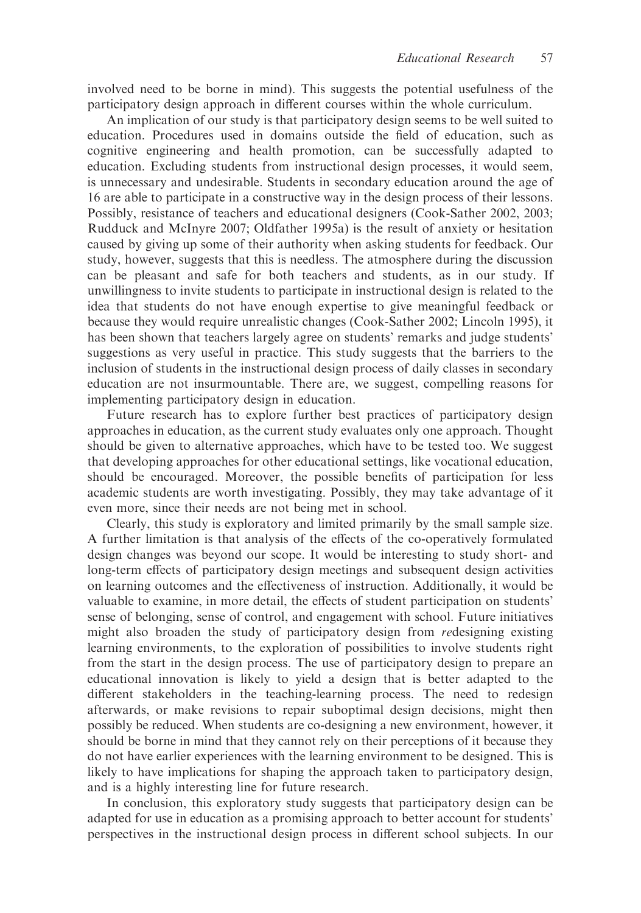involved need to be borne in mind). This suggests the potential usefulness of the participatory design approach in different courses within the whole curriculum.

An implication of our study is that participatory design seems to be well suited to education. Procedures used in domains outside the field of education, such as cognitive engineering and health promotion, can be successfully adapted to education. Excluding students from instructional design processes, it would seem, is unnecessary and undesirable. Students in secondary education around the age of 16 are able to participate in a constructive way in the design process of their lessons. Possibly, resistance of teachers and educational designers (Cook-Sather 2002, 2003; Rudduck and McInyre 2007; Oldfather 1995a) is the result of anxiety or hesitation caused by giving up some of their authority when asking students for feedback. Our study, however, suggests that this is needless. The atmosphere during the discussion can be pleasant and safe for both teachers and students, as in our study. If unwillingness to invite students to participate in instructional design is related to the idea that students do not have enough expertise to give meaningful feedback or because they would require unrealistic changes (Cook-Sather 2002; Lincoln 1995), it has been shown that teachers largely agree on students' remarks and judge students' suggestions as very useful in practice. This study suggests that the barriers to the inclusion of students in the instructional design process of daily classes in secondary education are not insurmountable. There are, we suggest, compelling reasons for implementing participatory design in education.

Future research has to explore further best practices of participatory design approaches in education, as the current study evaluates only one approach. Thought should be given to alternative approaches, which have to be tested too. We suggest that developing approaches for other educational settings, like vocational education, should be encouraged. Moreover, the possible benefits of participation for less academic students are worth investigating. Possibly, they may take advantage of it even more, since their needs are not being met in school.

Clearly, this study is exploratory and limited primarily by the small sample size. A further limitation is that analysis of the effects of the co-operatively formulated design changes was beyond our scope. It would be interesting to study short- and long-term effects of participatory design meetings and subsequent design activities on learning outcomes and the effectiveness of instruction. Additionally, it would be valuable to examine, in more detail, the effects of student participation on students' sense of belonging, sense of control, and engagement with school. Future initiatives might also broaden the study of participatory design from redesigning existing learning environments, to the exploration of possibilities to involve students right from the start in the design process. The use of participatory design to prepare an educational innovation is likely to yield a design that is better adapted to the different stakeholders in the teaching-learning process. The need to redesign afterwards, or make revisions to repair suboptimal design decisions, might then possibly be reduced. When students are co-designing a new environment, however, it should be borne in mind that they cannot rely on their perceptions of it because they do not have earlier experiences with the learning environment to be designed. This is likely to have implications for shaping the approach taken to participatory design, and is a highly interesting line for future research.

In conclusion, this exploratory study suggests that participatory design can be adapted for use in education as a promising approach to better account for students' perspectives in the instructional design process in different school subjects. In our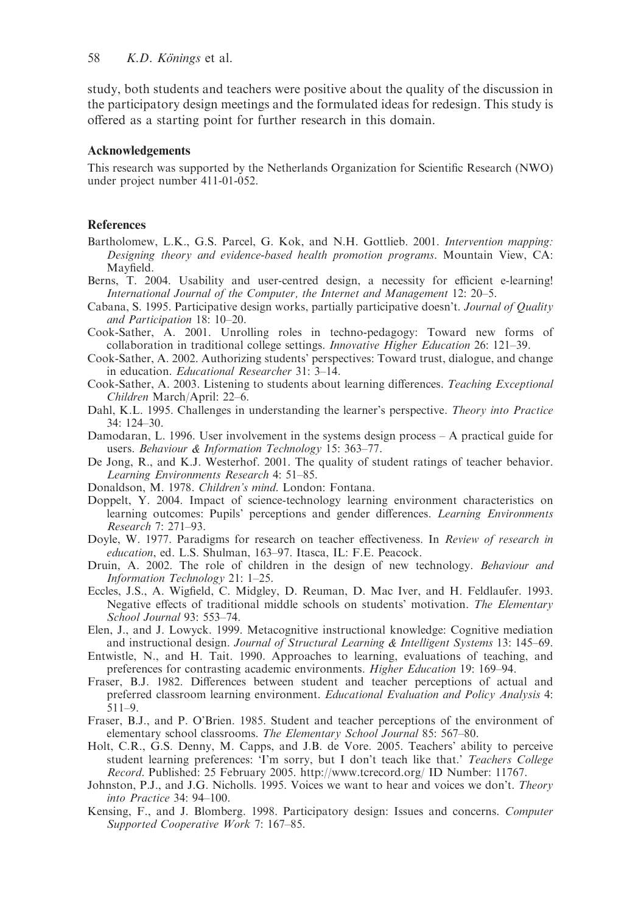study, both students and teachers were positive about the quality of the discussion in the participatory design meetings and the formulated ideas for redesign. This study is offered as a starting point for further research in this domain.

#### Acknowledgements

This research was supported by the Netherlands Organization for Scientific Research (NWO) under project number 411-01-052.

#### **References**

- Bartholomew, L.K., G.S. Parcel, G. Kok, and N.H. Gottlieb. 2001. Intervention mapping: Designing theory and evidence-based health promotion programs. Mountain View, CA: Mayfield.
- Berns, T. 2004. Usability and user-centred design, a necessity for efficient e-learning! International Journal of the Computer, the Internet and Management 12: 20–5.
- Cabana, S. 1995. Participative design works, partially participative doesn't. Journal of Quality and Participation 18: 10–20.
- Cook-Sather, A. 2001. Unrolling roles in techno-pedagogy: Toward new forms of collaboration in traditional college settings. *Innovative Higher Education* 26: 121–39.
- Cook-Sather, A. 2002. Authorizing students' perspectives: Toward trust, dialogue, and change in education. Educational Researcher 31: 3–14.
- Cook-Sather, A. 2003. Listening to students about learning differences. Teaching Exceptional Children March/April: 22–6.
- Dahl, K.L. 1995. Challenges in understanding the learner's perspective. Theory into Practice 34: 124–30.
- Damodaran, L. 1996. User involvement in the systems design process A practical guide for users. Behaviour & Information Technology 15: 363-77.
- De Jong, R., and K.J. Westerhof. 2001. The quality of student ratings of teacher behavior. Learning Environments Research 4: 51–85.
- Donaldson, M. 1978. Children's mind. London: Fontana.
- Doppelt, Y. 2004. Impact of science-technology learning environment characteristics on learning outcomes: Pupils' perceptions and gender differences. Learning Environments Research 7: 271–93.
- Doyle, W. 1977. Paradigms for research on teacher effectiveness. In Review of research in education, ed. L.S. Shulman, 163-97. Itasca, IL: F.E. Peacock.
- Druin, A. 2002. The role of children in the design of new technology. Behaviour and Information Technology 21: 1–25.
- Eccles, J.S., A. Wigfield, C. Midgley, D. Reuman, D. Mac Iver, and H. Feldlaufer. 1993. Negative effects of traditional middle schools on students' motivation. The Elementary School Journal 93: 553–74.
- Elen, J., and J. Lowyck. 1999. Metacognitive instructional knowledge: Cognitive mediation and instructional design. Journal of Structural Learning & Intelligent Systems 13: 145–69.
- Entwistle, N., and H. Tait. 1990. Approaches to learning, evaluations of teaching, and preferences for contrasting academic environments. Higher Education 19: 169–94.
- Fraser, B.J. 1982. Differences between student and teacher perceptions of actual and preferred classroom learning environment. Educational Evaluation and Policy Analysis 4: 511–9.
- Fraser, B.J., and P. O'Brien. 1985. Student and teacher perceptions of the environment of elementary school classrooms. The Elementary School Journal 85: 567–80.
- Holt, C.R., G.S. Denny, M. Capps, and J.B. de Vore. 2005. Teachers' ability to perceive student learning preferences: 'I'm sorry, but I don't teach like that.' Teachers College Record. Published: 25 February 2005. [http://www.tcrecord.org/](http://www.tcrecord.org/ ID Number: 11767) ID Number: 11767.
- Johnston, P.J., and J.G. Nicholls. 1995. Voices we want to hear and voices we don't. Theory into Practice 34: 94–100.
- Kensing, F., and J. Blomberg. 1998. Participatory design: Issues and concerns. Computer Supported Cooperative Work 7: 167–85.